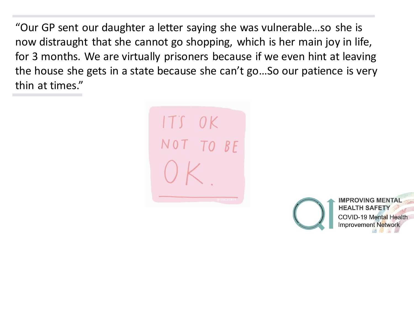"Our GP sent our daughter a letter saying she was vulnerable…so she is now distraught that she cannot go shopping, which is her main joy in life, for 3 months. We are virtually prisoners because if we even hint at leaving the house she gets in a state because she can't go…So our patience is very thin at times."



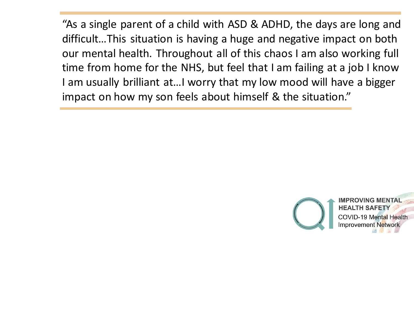"As a single parent of a child with ASD & ADHD, the days are long and difficult…This situation is having a huge and negative impact on both our mental health. Throughout all of this chaos I am also working full time from home for the NHS, but feel that I am failing at a job I know I am usually brilliant at…I worry that my low mood will have a bigger impact on how my son feels about himself & the situation."

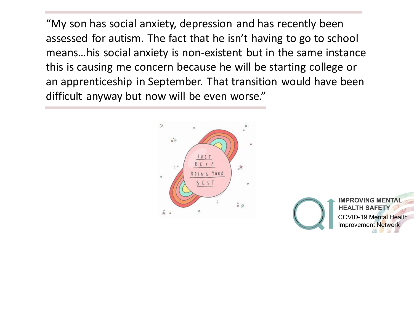"My son has social anxiety, depression and has recently been assessed for autism. The fact that he isn't having to go to school means…his social anxiety is non-existent but in the same instance this is causing me concern because he will be starting college or an apprenticeship in September. That transition would have been difficult anyway but now will be even worse."



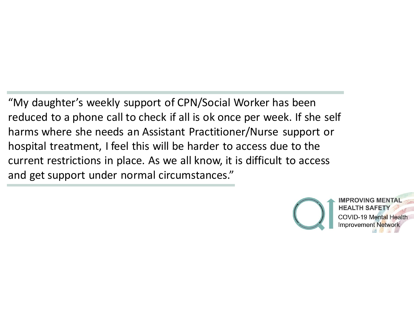"My daughter's weekly support of CPN/Social Worker has been reduced to a phone call to check if all is ok once per week. If she self harms where she needs an Assistant Practitioner/Nurse support or hospital treatment, I feel this will be harder to access due to the current restrictions in place. As we all know, it is difficult to access and get support under normal circumstances."

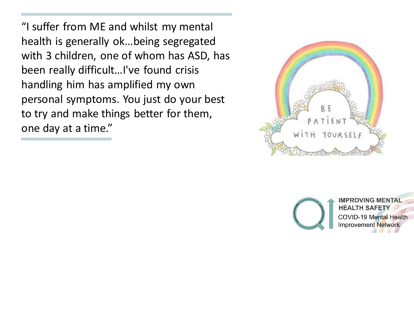"I suffer from ME and whilst my mental health is generally ok…being segregated with 3 children, one of whom has ASD, has been really difficult…I've found crisis handling him has amplified my own personal symptoms. You just do your best to try and make things better for them, one day at a time."



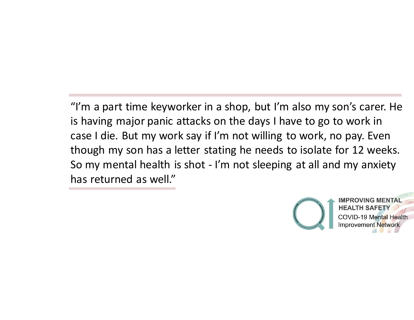"I'm a part time keyworker in a shop, but I'm also my son's carer. He is having major panic attacks on the days I have to go to work in case I die. But my work say if I'm not willing to work, no pay. Even though my son has a letter stating he needs to isolate for 12 weeks. So my mental health is shot - I'm not sleeping at all and my anxiety has returned as well."

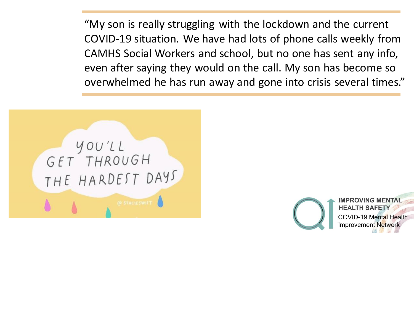"My son is really struggling with the lockdown and the current COVID-19 situation. We have had lots of phone calls weekly from CAMHS Social Workers and school, but no one has sent any info, even after saying they would on the call. My son has become so overwhelmed he has run away and gone into crisis several times."



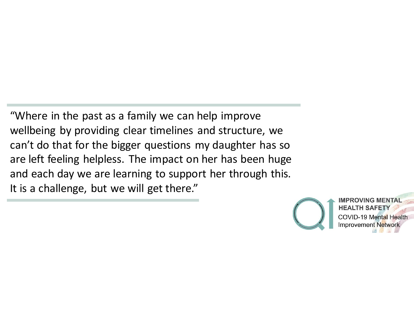"Where in the past as a family we can help improve wellbeing by providing clear timelines and structure, we can't do that for the bigger questions my daughter has so are left feeling helpless. The impact on her has been huge and each day we are learning to support her through this. It is a challenge, but we will get there."

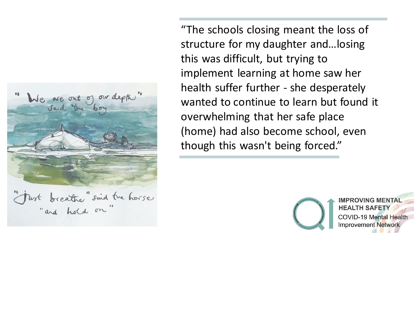

"The schools closing meant the loss of structure for my daughter and…losing this was difficult, but trying to implement learning at home saw her health suffer further - she desperately wanted to continue to learn but found it overwhelming that her safe place (home) had also become school, even though this wasn't being forced."

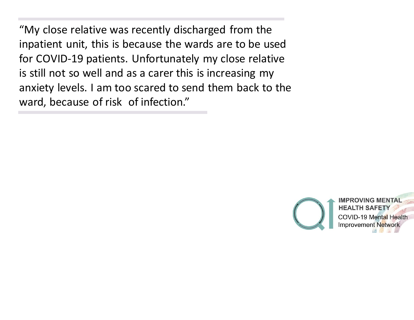"My close relative was recently discharged from the inpatient unit, this is because the wards are to be used for COVID-19 patients. Unfortunately my close relative is still not so well and as a carer this is increasing my anxiety levels. I am too scared to send them back to the ward, because of risk of infection."

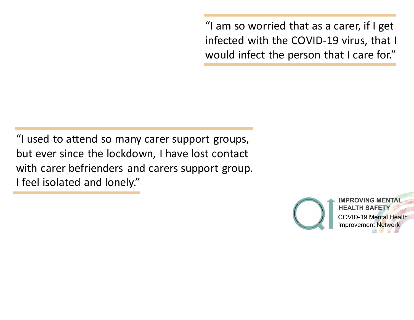"I am so worried that as a carer, if I get infected with the COVID-19 virus, that I would infect the person that I care for."

"I used to attend so many carer support groups, but ever since the lockdown, I have lost contact with carer befrienders and carers support group. I feel isolated and lonely."

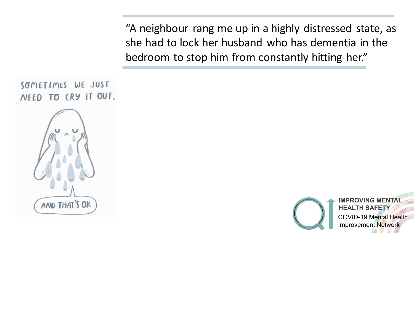"A neighbour rang me up in a highly distressed state, as she had to lock her husband who has dementia in the bedroom to stop him from constantly hitting her."

```
SØMETIMES WE JUST
NEED TO CRY IT OUT.
    AND THAT'S OK
```
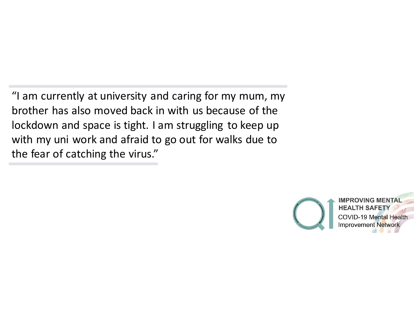"I am currently at university and caring for my mum, my brother has also moved back in with us because of the lockdown and space is tight. I am struggling to keep up with my uni work and afraid to go out for walks due to the fear of catching the virus."

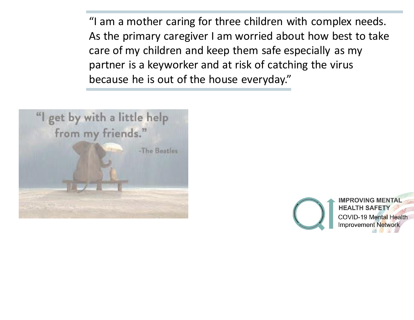"I am a mother caring for three children with complex needs. As the primary caregiver I am worried about how best to take care of my children and keep them safe especially as my partner is a keyworker and at risk of catching the virus because he is out of the house everyday."